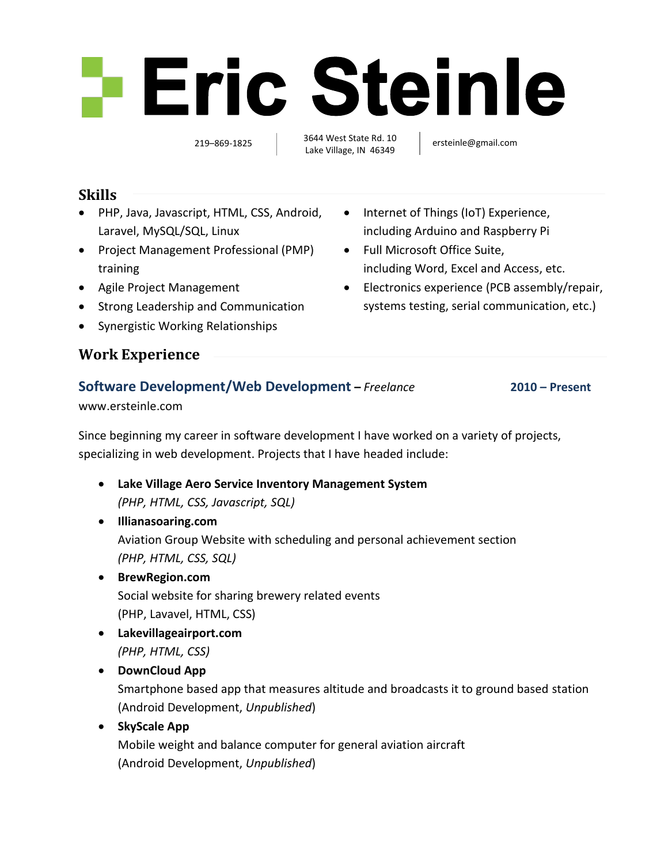# 

219–869-1825 and 3044 West State Rd. 10 [ersteinle@gmail.com](mailto:ersteinle@gmail.com) 3644 West State Rd. 10 Lake Village, IN 46349

 Internet of Things (IoT) Experience, including Arduino and Raspberry Pi

including Word, Excel and Access, etc. Electronics experience (PCB assembly/repair, systems testing, serial communication, etc.)

Full Microsoft Office Suite,

#### **Skills**

- PHP, Java, Javascript, HTML, CSS, Android, Laravel, MySQL/SQL, Linux
- Project Management Professional (PMP) training
- Agile Project Management
- Strong Leadership and Communication
- Synergistic Working Relationships

## **Work Experience**

## **Software Development/Web Development –** *Freelance* **2010 – Present**

[www.ersteinle.com](http://www.ersteinle.com/)

Since beginning my career in software development I have worked on a variety of projects, specializing in web development. Projects that I have headed include:

- **Lake Village Aero Service Inventory Management System** *(PHP, HTML, CSS, Javascript, SQL)*
- **[Illianasoaring.com](http://www.illianasoaring.com/)**

Aviation Group Website with scheduling and personal achievement section *(PHP, HTML, CSS, SQL)*

- **[BrewRegion.com](http://www.brewregion.com/)** Social website for sharing brewery related events (PHP, Lavavel, HTML, CSS)
- **[Lakevillageairport.com](http://www.lakevillageairport.com/)** *(PHP, HTML, CSS)*
- **DownCloud App** Smartphone based app that measures altitude and broadcasts it to ground based station (Android Development, *Unpublished*) **SkyScale App**
	- Mobile weight and balance computer for general aviation aircraft (Android Development, *Unpublished*)